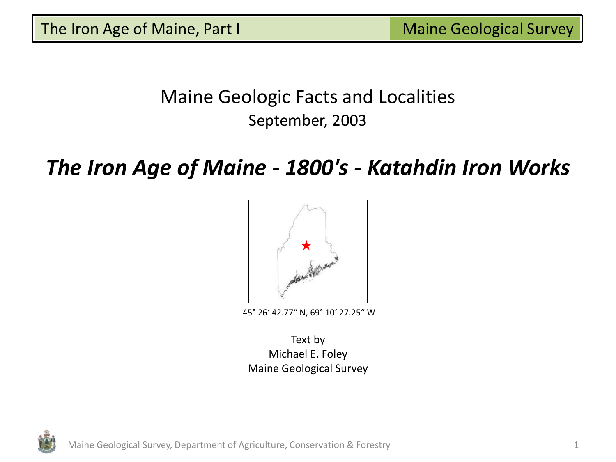# Maine Geologic Facts and Localities September, 2003

# *The Iron Age of Maine - 1800's - Katahdin Iron Works*



45° 26' 42.77" N, 69° 10' 27.25" W

Text by Michael E. Foley Maine Geological Survey

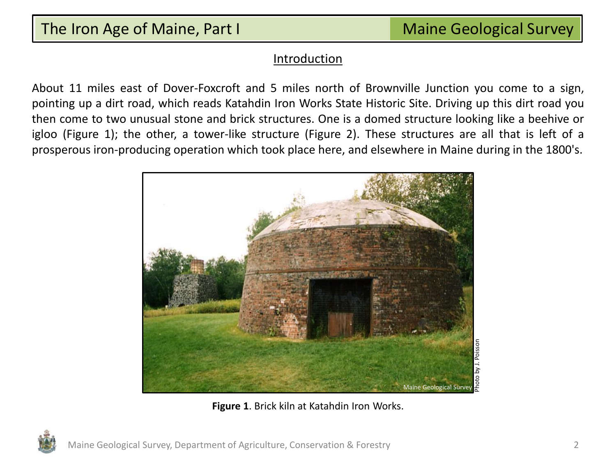#### Introduction

About 11 miles east of Dover-Foxcroft and 5 miles north of Brownville Junction you come to a sign, pointing up a dirt road, which reads Katahdin Iron Works State Historic Site. Driving up this dirt road you then come to two unusual stone and brick structures. One is a domed structure looking like a beehive or igloo (Figure 1); the other, a tower-like structure (Figure 2). These structures are all that is left of a prosperous iron-producing operation which took place here, and elsewhere in Maine during in the 1800's.



**Figure 1**. Brick kiln at Katahdin Iron Works.

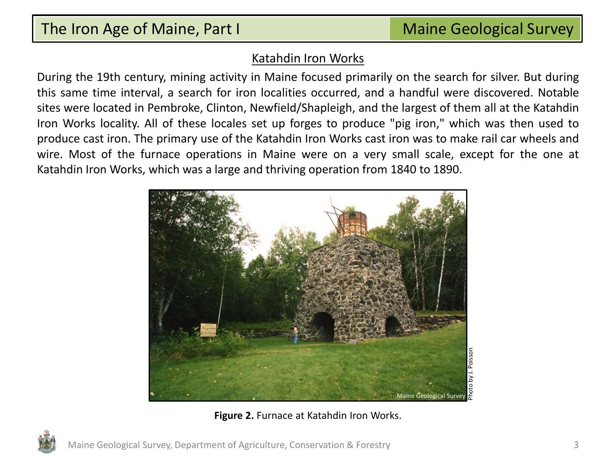## Katahdin Iron Works

During the 19th century, mining activity in Maine focused primarily on the search for silver. But during this same time interval, a search for iron localities occurred, and a handful were discovered. Notable sites were located in Pembroke, Clinton, Newfield/Shapleigh, and the largest of them all at the Katahdin Iron Works locality. All of these locales set up forges to produce "pig iron," which was then used to produce cast iron. The primary use of the Katahdin Iron Works cast iron was to make rail car wheels and wire. Most of the furnace operations in Maine were on a very small scale, except for the one at Katahdin Iron Works, which was a large and thriving operation from 1840 to 1890.



**Figure 2.** Furnace at Katahdin Iron Works.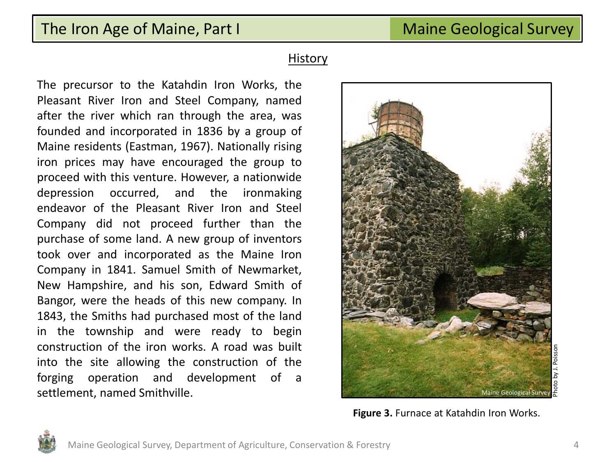#### **History**

The precursor to the Katahdin Iron Works, the Pleasant River Iron and Steel Company, named after the river which ran through the area, was founded and incorporated in 1836 by a group of Maine residents (Eastman, 1967). Nationally rising iron prices may have encouraged the group to proceed with this venture. However, a nationwide depression occurred, and the ironmaking endeavor of the Pleasant River Iron and Steel Company did not proceed further than the purchase of some land. A new group of inventors took over and incorporated as the Maine Iron Company in 1841. Samuel Smith of Newmarket, New Hampshire, and his son, Edward Smith of Bangor, were the heads of this new company. In 1843, the Smiths had purchased most of the land in the township and were ready to begin construction of the iron works. A road was built into the site allowing the construction of the forging operation and development of a settlement, named Smithville.



**Figure 3.** Furnace at Katahdin Iron Works.

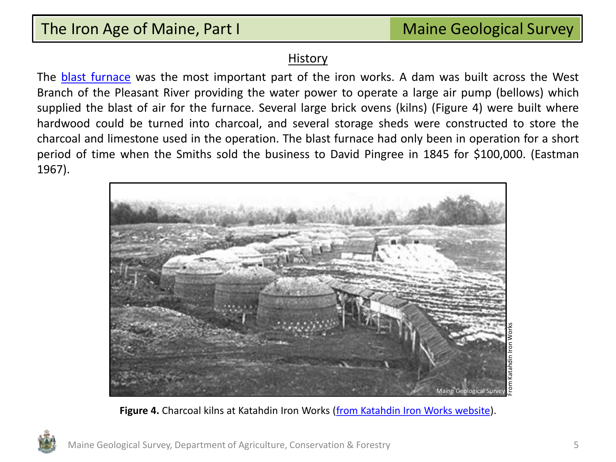#### History

The [blast](#page-14-0) [furnace](#page-14-0) was the most important part of the iron works. A dam was built across the West Branch of the Pleasant River providing the water power to operate a large air pump (bellows) which supplied the blast of air for the furnace. Several large brick ovens (kilns) (Figure 4) were built where hardwood could be turned into charcoal, and several storage sheds were constructed to store the charcoal and limestone used in the operation. The blast furnace had only been in operation for a short period of time when the Smiths sold the business to David Pingree in 1845 for \$100,000. (Eastman 1967).



**Figure 4.** Charcoal kilns at Katahdin Iron Works ([from Katahdin Iron Works website](http://www.maine.gov/cgi-bin/online/doc/parksearch/index.pl)).

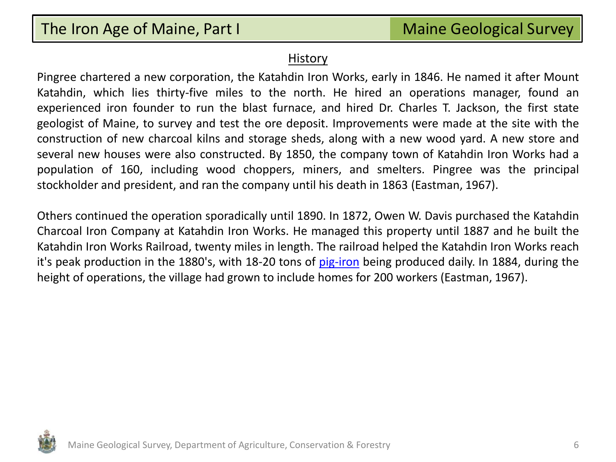#### **History**

Pingree chartered a new corporation, the Katahdin Iron Works, early in 1846. He named it after Mount Katahdin, which lies thirty-five miles to the north. He hired an operations manager, found an experienced iron founder to run the blast furnace, and hired Dr. Charles T. Jackson, the first state geologist of Maine, to survey and test the ore deposit. Improvements were made at the site with the construction of new charcoal kilns and storage sheds, along with a new wood yard. A new store and several new houses were also constructed. By 1850, the company town of Katahdin Iron Works had a population of 160, including wood choppers, miners, and smelters. Pingree was the principal stockholder and president, and ran the company until his death in 1863 (Eastman, 1967).

Others continued the operation sporadically until 1890. In 1872, Owen W. Davis purchased the Katahdin Charcoal Iron Company at Katahdin Iron Works. He managed this property until 1887 and he built the Katahdin Iron Works Railroad, twenty miles in length. The railroad helped the Katahdin Iron Works reach it's peak production in the 1880's, with 18-20 tons of [pig-iron](#page-14-0) being produced daily. In 1884, during the height of operations, the village had grown to include homes for 200 workers (Eastman, 1967).

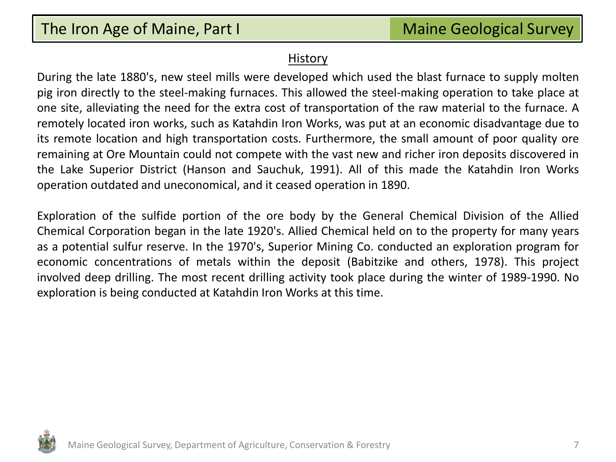#### **History**

During the late 1880's, new steel mills were developed which used the blast furnace to supply molten pig iron directly to the steel-making furnaces. This allowed the steel-making operation to take place at one site, alleviating the need for the extra cost of transportation of the raw material to the furnace. A remotely located iron works, such as Katahdin Iron Works, was put at an economic disadvantage due to its remote location and high transportation costs. Furthermore, the small amount of poor quality ore remaining at Ore Mountain could not compete with the vast new and richer iron deposits discovered in the Lake Superior District (Hanson and Sauchuk, 1991). All of this made the Katahdin Iron Works operation outdated and uneconomical, and it ceased operation in 1890.

Exploration of the sulfide portion of the ore body by the General Chemical Division of the Allied Chemical Corporation began in the late 1920's. Allied Chemical held on to the property for many years as a potential sulfur reserve. In the 1970's, Superior Mining Co. conducted an exploration program for economic concentrations of metals within the deposit (Babitzike and others, 1978). This project involved deep drilling. The most recent drilling activity took place during the winter of 1989-1990. No exploration is being conducted at Katahdin Iron Works at this time.

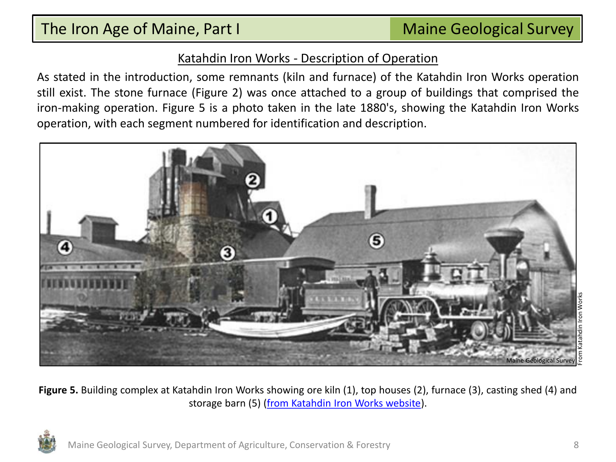## Katahdin Iron Works - Description of Operation

As stated in the introduction, some remnants (kiln and furnace) of the Katahdin Iron Works operation still exist. The stone furnace (Figure 2) was once attached to a group of buildings that comprised the iron-making operation. Figure 5 is a photo taken in the late 1880's, showing the Katahdin Iron Works operation, with each segment numbered for identification and description.



**Figure 5.** Building complex at Katahdin Iron Works showing ore kiln (1), top houses (2), furnace (3), casting shed (4) and storage barn (5) ([from Katahdin Iron Works website](http://www.maine.gov/cgi-bin/online/doc/parksearch/index.pl)).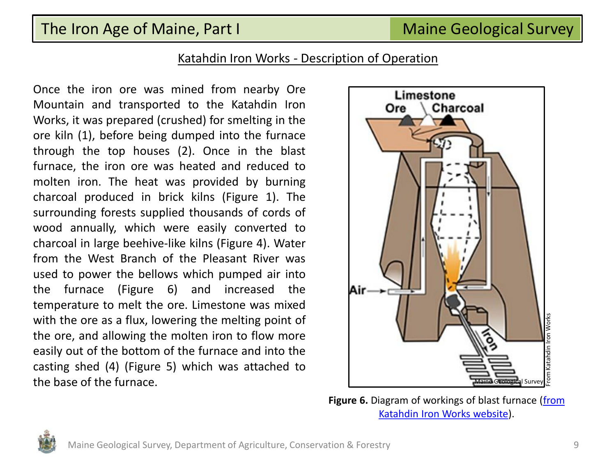## Katahdin Iron Works - Description of Operation

Once the iron ore was mined from nearby Ore Mountain and transported to the Katahdin Iron Works, it was prepared (crushed) for smelting in the ore kiln (1), before being dumped into the furnace through the top houses (2). Once in the blast furnace, the iron ore was heated and reduced to molten iron. The heat was provided by burning charcoal produced in brick kilns (Figure 1). The surrounding forests supplied thousands of cords of wood annually, which were easily converted to charcoal in large beehive-like kilns (Figure 4). Water from the West Branch of the Pleasant River was used to power the bellows which pumped air into the furnace (Figure 6) and increased the temperature to melt the ore. Limestone was mixed with the ore as a flux, lowering the melting point of the ore, and allowing the molten iron to flow more easily out of the bottom of the furnace and into the casting shed (4) (Figure 5) which was attached to the base of the furnace.



**Figure 6.** Diagram of workings of blast furnace (from [Katahdin Iron Works website](http://www.maine.gov/cgi-bin/online/doc/parksearch/index.pl)).

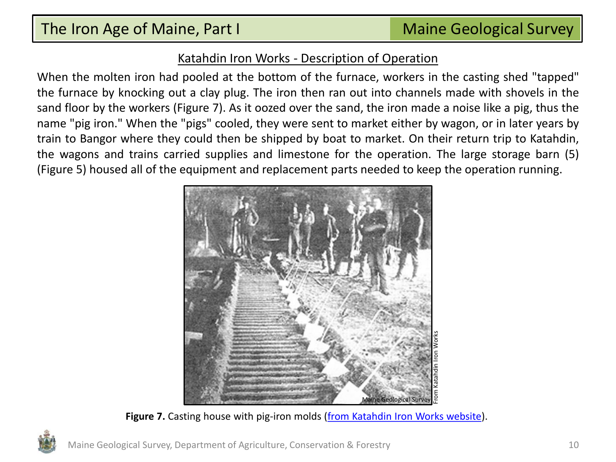## Katahdin Iron Works - Description of Operation

When the molten iron had pooled at the bottom of the furnace, workers in the casting shed "tapped" the furnace by knocking out a clay plug. The iron then ran out into channels made with shovels in the sand floor by the workers (Figure 7). As it oozed over the sand, the iron made a noise like a pig, thus the name "pig iron." When the "pigs" cooled, they were sent to market either by wagon, or in later years by train to Bangor where they could then be shipped by boat to market. On their return trip to Katahdin, the wagons and trains carried supplies and limestone for the operation. The large storage barn (5) (Figure 5) housed all of the equipment and replacement parts needed to keep the operation running.



Figure 7. Casting house with pig-iron molds ([from Katahdin Iron Works website\)](http://www.maine.gov/cgi-bin/online/doc/parksearch/index.pl).

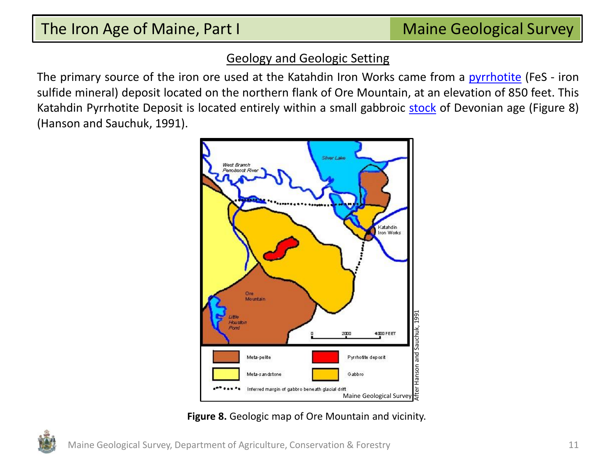## Geology and Geologic Setting

The primary source of the iron ore used at the Katahdin Iron Works came from a [pyrrhotite](#page-14-0) (FeS - iron sulfide mineral) deposit located on the northern flank of Ore Mountain, at an elevation of 850 feet. This Katahdin Pyrrhotite Deposit is located entirely within a small gabbroic [stock](#page-14-0) of Devonian age (Figure 8) (Hanson and Sauchuk, 1991).



**Figure 8.** Geologic map of Ore Mountain and vicinity.

Maine Geological Survey, Department of Agriculture, Conservation & Forestry 11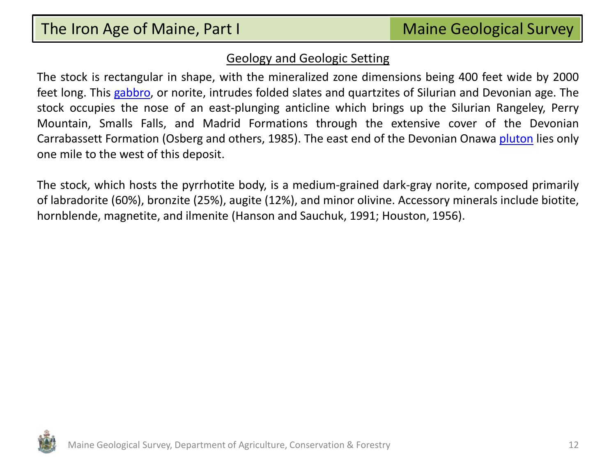## Geology and Geologic Setting

The stock is rectangular in shape, with the mineralized zone dimensions being 400 feet wide by 2000 feet long. This [gabbro,](#page-14-0) or norite, intrudes folded slates and quartzites of Silurian and Devonian age. The stock occupies the nose of an east-plunging anticline which brings up the Silurian Rangeley, Perry Mountain, Smalls Falls, and Madrid Formations through the extensive cover of the Devonian Carrabassett Formation (Osberg and others, 1985). The east end of the Devonian Onawa [pluton](#page-14-0) lies only one mile to the west of this deposit.

The stock, which hosts the pyrrhotite body, is a medium-grained dark-gray norite, composed primarily of labradorite (60%), bronzite (25%), augite (12%), and minor olivine. Accessory minerals include biotite, hornblende, magnetite, and ilmenite (Hanson and Sauchuk, 1991; Houston, 1956).

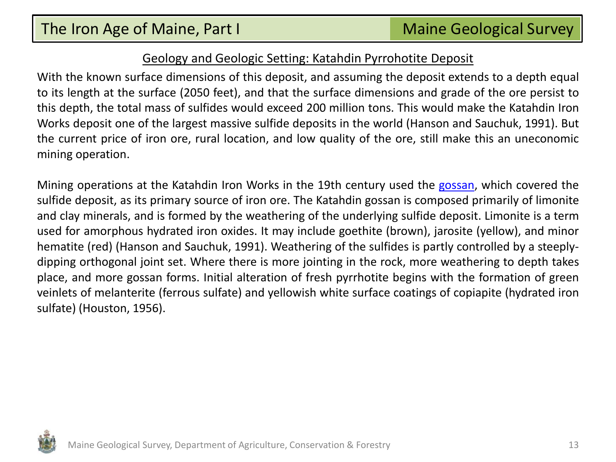## Geology and Geologic Setting: Katahdin Pyrrohotite Deposit

With the known surface dimensions of this deposit, and assuming the deposit extends to a depth equal to its length at the surface (2050 feet), and that the surface dimensions and grade of the ore persist to this depth, the total mass of sulfides would exceed 200 million tons. This would make the Katahdin Iron Works deposit one of the largest massive sulfide deposits in the world (Hanson and Sauchuk, 1991). But the current price of iron ore, rural location, and low quality of the ore, still make this an uneconomic mining operation.

Mining operations at the Katahdin Iron Works in the 19th century used the [gossan,](#page-14-0) which covered the sulfide deposit, as its primary source of iron ore. The Katahdin gossan is composed primarily of limonite and clay minerals, and is formed by the weathering of the underlying sulfide deposit. Limonite is a term used for amorphous hydrated iron oxides. It may include goethite (brown), jarosite (yellow), and minor hematite (red) (Hanson and Sauchuk, 1991). Weathering of the sulfides is partly controlled by a steeplydipping orthogonal joint set. Where there is more jointing in the rock, more weathering to depth takes place, and more gossan forms. Initial alteration of fresh pyrrhotite begins with the formation of green veinlets of melanterite (ferrous sulfate) and yellowish white surface coatings of copiapite (hydrated iron sulfate) (Houston, 1956).

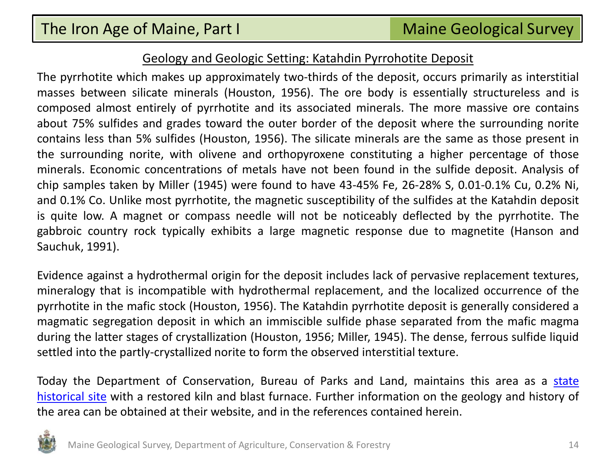#### Geology and Geologic Setting: Katahdin Pyrrohotite Deposit

The pyrrhotite which makes up approximately two-thirds of the deposit, occurs primarily as interstitial masses between silicate minerals (Houston, 1956). The ore body is essentially structureless and is composed almost entirely of pyrrhotite and its associated minerals. The more massive ore contains about 75% sulfides and grades toward the outer border of the deposit where the surrounding norite contains less than 5% sulfides (Houston, 1956). The silicate minerals are the same as those present in the surrounding norite, with olivene and orthopyroxene constituting a higher percentage of those minerals. Economic concentrations of metals have not been found in the sulfide deposit. Analysis of chip samples taken by Miller (1945) were found to have 43-45% Fe, 26-28% S, 0.01-0.1% Cu, 0.2% Ni, and 0.1% Co. Unlike most pyrrhotite, the magnetic susceptibility of the sulfides at the Katahdin deposit is quite low. A magnet or compass needle will not be noticeably deflected by the pyrrhotite. The gabbroic country rock typically exhibits a large magnetic response due to magnetite (Hanson and Sauchuk, 1991).

Evidence against a hydrothermal origin for the deposit includes lack of pervasive replacement textures, mineralogy that is incompatible with hydrothermal replacement, and the localized occurrence of the pyrrhotite in the mafic stock (Houston, 1956). The Katahdin pyrrhotite deposit is generally considered a magmatic segregation deposit in which an immiscible sulfide phase separated from the mafic magma during the latter stages of crystallization (Houston, 1956; Miller, 1945). The dense, ferrous sulfide liquid settled into the partly-crystallized norite to form the observed interstitial texture.

Today the Department of Conservation, Bureau of Parks and Land, maintains this area as a [state](http://www.maine.gov/cgi-bin/online/doc/parksearch/index.pl) [historical](http://www.maine.gov/cgi-bin/online/doc/parksearch/index.pl) [site](http://www.maine.gov/cgi-bin/online/doc/parksearch/index.pl) with a restored kiln and blast furnace. Further information on the geology and history of the area can be obtained at their website, and in the references contained herein.

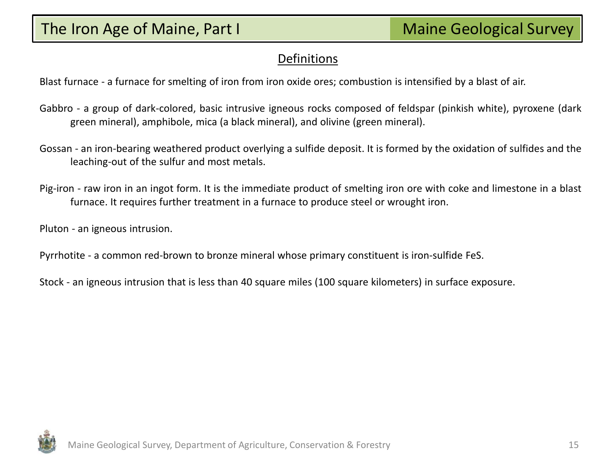## Definitions

Blast furnace - a furnace for smelting of iron from iron oxide ores; combustion is intensified by a blast of air.

- Gabbro a group of dark-colored, basic intrusive igneous rocks composed of feldspar (pinkish white), pyroxene (dark green mineral), amphibole, mica (a black mineral), and olivine (green mineral).
- Gossan an iron-bearing weathered product overlying a sulfide deposit. It is formed by the oxidation of sulfides and the leaching-out of the sulfur and most metals.
- Pig-iron raw iron in an ingot form. It is the immediate product of smelting iron ore with coke and limestone in a blast furnace. It requires further treatment in a furnace to produce steel or wrought iron.

Pluton - an igneous intrusion.

Pyrrhotite - a common red-brown to bronze mineral whose primary constituent is iron-sulfide FeS.

Stock - an igneous intrusion that is less than 40 square miles (100 square kilometers) in surface exposure.

<span id="page-14-0"></span>